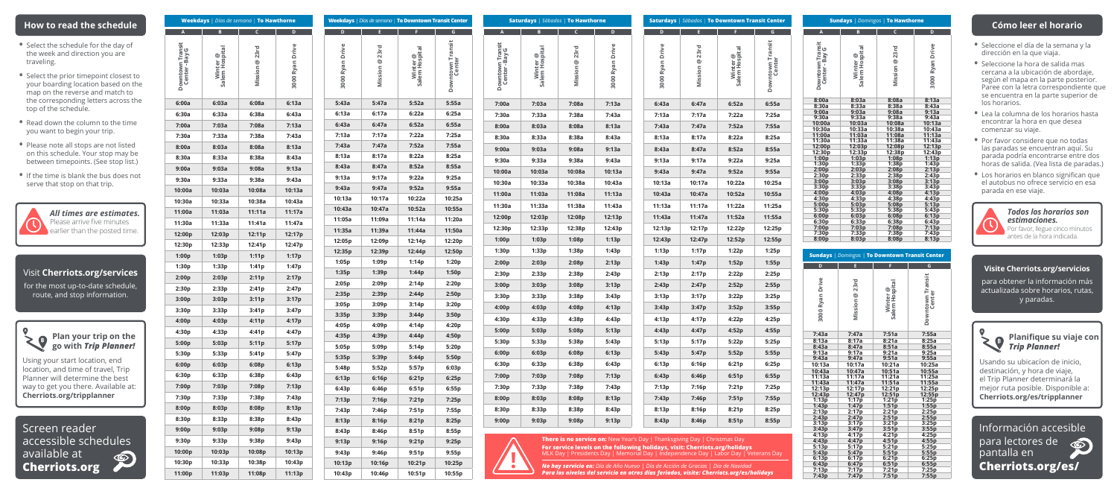| <b>Weekdays</b>   Días de semana   To Hawthorne |                            |                  |                  |  |
|-------------------------------------------------|----------------------------|------------------|------------------|--|
|                                                 |                            |                  |                  |  |
| Downtown Transit<br>Center - Bay G              | Winter @<br>Salem Hospital | Mission @ 23rd   | 3000 Ryan Drive  |  |
| 6:00a                                           | 6:03a                      | 6:08a            | 6:13a            |  |
| 6:30a                                           | 6:33a                      | 6:38a            | 6:43a            |  |
| 7:00a                                           | 7:03a                      | 7:08a            | 7:13a            |  |
| 7:30a                                           | 7:33a                      | 7:38a            | 7:43a            |  |
| 8:00a                                           | 8:03a                      | 8:08a            | 8:13a            |  |
| 8:30a                                           | 8:33a                      | 8:38a            | 8:43a            |  |
| 9:00a                                           | 9:03a                      | 9:08a            | 9:13a            |  |
| 9:30a                                           | 9:33a                      | 9:38a            | 9:43a            |  |
| 10:00a                                          | 10:03a                     | 10:08a           | 10:13a           |  |
| 10:30a                                          | 10:33a                     | 10:38a           | 10:43a           |  |
| 11:00a                                          | 11:03a                     | 11:11a           | 11:17a           |  |
| 11:30a                                          | 11:33a                     | 11:41a           | 11:47a           |  |
| 12:00p                                          | 12:03p                     | 12:11p           | 12:17p           |  |
| 12:30p                                          | 12:33p                     | 12:41p           | 12:47p           |  |
| 1:00p                                           | 1:03p                      | 1:11p            | 1:17p            |  |
| 1:30p                                           | 1:33p                      | 1:41p            | 1:47p            |  |
| 2:00p                                           | 2:03p                      | 2:11p            | 2:17p            |  |
| 2:30p                                           | 2:33p                      | 2:41p            | 2:47p            |  |
| 3:00p                                           | 3:03p                      | 3:11p            | 3:17p            |  |
| 3:30p                                           | 3:33p                      | 3:41p            | 3:47p            |  |
| 4:00p                                           | 4:03p                      | 4:11p            | 4:17p            |  |
| 4:30p                                           | 4:33p                      | 4:41p            | 4:47p            |  |
| 5:00p                                           | 5:03p                      | 5:11p            | 5:17p            |  |
| 5:30p                                           | 5:33p                      | 5:41p            | 5:47p            |  |
| 6:00p                                           | 6:03p                      | 6:08p            | 6:13p            |  |
| 6:30p                                           | 6:33p                      | 6:38p            | 6:43p            |  |
| 7:00p                                           | 7:03p                      | 7:08p            | 7:13p            |  |
| 7:30p                                           | 7:33p                      | 7:38p            | 7:43p            |  |
| 8:00p                                           | 8:03p                      | 8:08p            | 8:13p            |  |
| 8:30p                                           | 8:33p                      | 8:38p            | 8:43p            |  |
| 9:00p                                           | 9:03p                      | 9:08p            | 9:13p            |  |
| 9:30p                                           | 9:33p                      | 9:38p            | 9:43p            |  |
| 10:00p                                          | 10:03p                     | 10:08p           | 10:13p           |  |
| 10:30p                                          | 10:33p                     | 10:38p<br>11:08p | 10:43p<br>11:13p |  |

*All times are estimates.* Please arrive five minutes earlier than the posted time.

Screen reader accessible schedules available at  $\circledcirc$ **Cherriots.org**

## **How to read the schedule**

- Select the schedule for the day of the week and direction you are traveling.
- Select the prior timepoint closest to your boarding location based on the map on the reverse and match to the corresponding letters across the top of the schedule.
- Read down the column to the time you want to begin your trip.
- Please note all stops are not listed on this schedule. Your stop may be between timepoints. (See stop list.)
- If the time is blank the bus does not serve that stop on that trip.



**A B C D Downtown Transit Center - Bay G Winter @ Salem Hospital Mission @ 23rd 3000 Ryan Drive 7:00a 7:03a 7:08a 7:13a 7:30a 7:33a 7:38a 7:43a 8:00a 8:03a 8:08a 8:13a 8:30a 8:33a 8:38a 8:43a 9:00a 9:03a 9:08a 9:13a 9:30a 9:33a 9:38a 9:43a 10:00a 10:03a 10:08a 10:13a 10:30a 10:33a 10:38a 10:43a 11:00a 11:03a 11:08a 11:13a 11:30a 11:33a 11:38a 11:43a 12:00p 12:03p 12:08p 12:13p 12:30p 12:33p 12:38p 12:43p 1:00p 1:03p 1:08p 1:13p 1:30p 1:33p 1:38p 1:43p 2:00p 2:03p 2:08p 2:13p 2:30p 2:33p 2:38p 2:43p 3:00p 3:03p 3:08p 3:13p 3:30p 3:33p 3:38p 3:43p 4:00p 4:03p 4:08p 4:13p 4:30p 4:33p 4:38p 4:43p 5:00p 5:03p 5:08p 5:13p 5:30p 5:33p 5:38p 5:43p 6:00p 6:03p 6:08p 6:13p 6:30p 6:33p 6:38p 6:43p 7:00p 7:03p 7:08p 7:13p 7:30p 7:33p 7:38p 7:43p 8:00p 8:03p 8:08p 8:13p 8:30p 8:33p 8:38p 8:43p 9:00p 9:03p 9:08p 9:13p Manados** | **To Hawthorne Saturdays** | Sábados | **To Downtown Transit Center D E F G 3000 Ryan Drive Mission @ 23rd Winter @ Salem Hospital Downtown Transit Center 6:43a 6:47a 6:52a 6:55a 7:13a 7:17a 7:22a 7:25a 7:43a 7:47a 8:13a 8:17a 8:22a 8:25a 8:43a 8:47a 8:52a 8:55a 9:13a 9:17a 9:22a 9:25a 9:43a 9:47a 10:13a 10:17a 10:22a 10:25a 10:43a 10:47a 10:52a 10:55a 11:13a 11:17a 11:22a 11:25a 11:43a 11:47a 11:52a 11:55a 12:13p 12:17p 12:22p 12:25p 12:43p 12:47p 12:52p 12:55p 1:13p 1:17p 1:22p 1:25p 1:43p 1:47p 2:13p 2:17p 2:22p 2:25p 2:43p 2:47p 3:13p 3:17p 3:22p 3:25p 3:43p 3:47p 4:13p 4:17p 4:22p 4:25p 4:43p 4:47p 4:52p 4:55p 5:13p 5:17p 5:22p 5:25p 5:43p 5:47p 5:52p 5:55p 6:13p 6:16p 6:21p 6:25p 6:43p 6:46p 6:51p 6:55p 7:13p 7:16p 7:21p 7:25p 7:43p 7:46p 8:13p 8:16p 8:21p 8:25p 8:43p 8:46p 8:51p 8:55p**

# Visit **Cherriots.org/services**

for the most up-to-date schedule, route, and stop information.



Using your start location, end location, and time of travel, Trip Planner will determine the best way to get you there. Available at: **Cherriots.org/tripplanner**

Planifique su viaje con *Trip Planner!*

**There is no service on:** New Year's Day | Thanksgiving Day | Christmas Day **For service levels on the following holidays, visit: Cherriots.org/holidays**  \_K Day | Presidents Day | Memorial Day | Independence Day | Labor Day | Veterans Day

| <b>Sundays</b>   Domingos   To Hawthorne |                            |                |                 |
|------------------------------------------|----------------------------|----------------|-----------------|
| A                                        | B                          | $\overline{C}$ | D               |
| Downtown Transit<br>Center-Bay G         | Winter @<br>Salem Hospital | Mission @ 23rd | 3000 Ryan Drive |
| 8:00a                                    | 8:03a                      | 8:08a          | 8:13a           |
| 8:30a                                    | 8:33a                      | 8:38a          | 8:43a           |
| 9:00a                                    | 9:03a                      | 9:08a          | 9:13a           |
| 9:30a                                    | 9:33a                      | 9:38a          | 9:43a           |
| 10:00a                                   | 10:03a                     | 10:08a         | 10:13a          |
| 10:30a                                   | 10:33a                     | 10:38a         | 10:43a          |
| 11:00a                                   | 11:03a                     | 11:08a         | 11:13a          |
| 11:30a                                   | 11:33a                     | 11:38a         | 11:43a          |
| 12:00p                                   | 12:03p                     | 12:08p         | 12:13p          |
| 12:30p                                   | 12:33p                     | 12:38p         | 12:43p          |
| 1:00p                                    | 1:03p                      | 1:08p          | 1:13p           |
| 1:30p                                    | 1:33p                      | 1:38p          | 1:43p           |
| 2:00p                                    | 2:03p                      | 2:08p          | 2:13p           |
| 2:30p                                    | 2:33p                      | 2:38p          | 2:43p           |
| 3:00p                                    | 3:03p                      | 3:08p          | 3:13p           |
| 3:30p                                    | 3:33p                      | 3:38p          | 3:43p           |
| 4:00p                                    | 4:03p                      | 4:08p          | 4:13p           |
| 4:30p                                    | 4:33p                      | 4:38p          | 4:43p           |
| 5:00p                                    | 5:03p                      | 5:08p          | 5:13p           |
| 5:30p                                    | 5:33p                      | 5:38p          | 5:43p           |
| 6:00p                                    | 6:03p                      | 6:08p          | 6:13p           |
| 6:30p                                    | 6:33p                      | 6:38p          | 6:43p           |
| 7:00p                                    | 7:03p                      | 7:08p          | 7:13p           |
| 7:30p                                    | 7:33p                      | 7:38p          | 7:43p           |
| 8:00p                                    | 8:03p                      | 8:08p          | 8:13p           |

|    |                 | Weekdays   Días de semana   To Downtown Transit Center |                            |                            |                                       | Saturdays                         |
|----|-----------------|--------------------------------------------------------|----------------------------|----------------------------|---------------------------------------|-----------------------------------|
|    |                 |                                                        |                            | G                          |                                       |                                   |
|    | 3000 Ryan Drive | Mission @ 23rd                                         | Salem Hospital<br>Winter @ | Downtown Transit<br>Center | Downtown Transit<br>G<br>Center - Bay | $\overline{\mathbb{e}}$<br>Winter |
| а  | 5:43a           | 5:47a                                                  | 5:52a                      | 5:55a                      | 7:00a                                 | 7:03                              |
| а  | 6:13a           | 6:17a                                                  | 6:22a                      | 6:25a                      | 7:30a                                 | 7:33                              |
| а  | 6:43a           | 6:47a                                                  | 6:52a                      | 6:55a                      | 8:00a                                 | 8:0.5                             |
| а  | 7:13a           | 7:17a                                                  | 7:22a                      | 7:25a                      | 8:30a                                 | 8:3.3                             |
| a  | 7:43a           | 7:47a                                                  | 7:52a                      | 7:55a                      | 9:00a                                 | 9:0.5                             |
| а  | 8:13a           | 8:17a                                                  | 8:22a                      | 8:25a                      | 9:30a                                 | 9:3.3                             |
| а  | 8:43a           | 8:47a                                                  | 8:52a                      | 8:55a                      | 10:00a                                | 10:0                              |
| а  | 9:13a           | 9:17a                                                  | 9:22a                      | 9:25a                      | 10:30a                                | 10:3                              |
| Зa | 9:43a           | 9:47a                                                  | 9:52a                      | 9:55a                      | 11:00a                                | 11:0                              |
| Зa | 10:13a          | 10:17a                                                 | 10:22a                     | 10:25a                     |                                       |                                   |
| 7a | 10:43a          | 10:47a                                                 | 10:52a                     | 10:55a                     | 11:30a                                | 11:3                              |
| 7a | 11:05a          | 11:09a                                                 | 11:14a                     | 11:20a                     | 12:00p                                | 12:0                              |
| 'p | 11:35a          | 11:39a                                                 | 11:44a                     | 11:50a                     | 12:30p                                | 12:3                              |
| 'p | 12:05p          | 12:09p                                                 | 12:14p                     | 12:20p                     | 1:00p                                 | 1:03                              |
| p  | 12:35p          | 12:39p                                                 | 12:44p                     | 12:50p                     | 1:30p                                 | 1:33                              |
| р  | 1:05p           | 1:09p                                                  | 1:14p                      | 1:20p                      | 2:00p                                 | 2:03                              |
| p  | 1:35p           | 1:39p                                                  | 1:44p                      | 1:50p                      | 2:30p                                 | 2:33                              |
| p  | 2:05p           | 2:09p                                                  | 2:14p                      | 2:20p                      | 3:00p                                 | 3:03                              |
| p  | 2:35p           | 2:39p                                                  | 2:44p                      | 2:50p                      | 3:30p                                 | 3:3.3                             |
| p  | 3:05p           | 3:09p                                                  | 3:14p                      | 3:20p                      | 4:00p                                 | 4:03                              |
| p  | 3:35p           | 3:39p                                                  | 3:44p                      | 3:50p                      | 4:30p                                 | 4:33                              |
| р  | 4:05p           | 4:09p                                                  | 4:14p                      | 4:20p                      | 5:00p                                 | 5:03                              |
| p  | 4:35p           | 4:39p                                                  | 4:44p                      | 4:50p                      | 5:30p                                 | 5:33                              |
| р  | 5:05p           | 5:09p                                                  | 5:14p                      | 5:20p                      | 6:00p                                 | 6:0.5                             |
| p  | 5:35p           | 5:39p                                                  | 5:44p                      | 5:50p                      | 6:30p                                 | 6:33                              |
| р  | 5:48p           | 5:52p                                                  | 5:57p                      | 6:03p                      | 7:00p                                 | 7:03                              |
| p  | 6:13p           | 6:16p                                                  | 6:21p                      | 6:25p                      | 7:30p                                 | 7:33                              |
| р  | 6:43p           | 6:46p                                                  | 6:51p                      | 6:55p                      |                                       |                                   |
| p  | 7:13p           | 7:16p                                                  | 7:21p                      | 7:25p                      | 8:00p                                 | 8:03                              |
|    | 7:43p           | 7:46p                                                  | 7:51p                      | 7:55p                      | 8:30p                                 | 8:35                              |
| p  | 8:13p           | 8:16p                                                  | 8:21p                      | 8:25p                      | 9:00p                                 | 9:0.5                             |
| р  | 8:43p           | 8:46p                                                  | 8:51p                      | 8:55p                      |                                       |                                   |
| p  | 9:13p           | 9:16p                                                  | 9:21p                      | 9:25p                      |                                       |                                   |
| }p | 9:43p           | 9:46p                                                  | 9:51p                      | 9:55p                      |                                       |                                   |
| }p | 10:13p          | 10:16p                                                 | 10:21p                     | 10:25p                     |                                       |                                   |
| }p | 10:43p          | 10:46p                                                 | 10:51p                     | 10:55p                     |                                       |                                   |

| <b>Sundays   Domingos   To Downtown Transit Center</b> |                |                            |                            |  |
|--------------------------------------------------------|----------------|----------------------------|----------------------------|--|
| D                                                      | Ē              | F                          | G                          |  |
| 3000 Ryan Drive                                        | Mission @ 23rd | Winter @<br>Salem Hospital | Downtown Transit<br>Center |  |
| 7:43a                                                  | 7:47a          | 7:51a                      | 7:55a                      |  |
| 8:13a                                                  | 8:17a          | 8:21a                      | 8:25a                      |  |
| 8:43a                                                  | 8:47a          | 8:51a                      | 8:55a                      |  |
| 9:13a                                                  | 9:17a          | 9:21a                      | 9:25a                      |  |
| 9:43a                                                  | 9:47a          | 9:51a                      | 9:55a                      |  |
| 10:13a                                                 | 10:17a         | 10:21a                     | 10:25a                     |  |
| 10:43a                                                 | 10:47a         | 10:51a                     | 10:55a                     |  |
| 11:13a                                                 | 11:17a         | 11:21a                     | 11:25a                     |  |
| 11:43a                                                 | 11:47a         | 11:51a                     | 11:55a                     |  |
| 12:13p                                                 | 12:17p         | 12:21p                     | 12:25p                     |  |
| 12:43p                                                 | 12:47p         | 12:51p<br>1:21p            | 12:55p<br>1:25p<br>1:55p   |  |
| 1:13p                                                  | 1:17p<br>1:47p |                            |                            |  |
| 1:43p                                                  |                | 1:51p                      |                            |  |
| 2:13p                                                  | 2:17p          | 2:21p                      | 2:25p                      |  |
| 2:43p                                                  | 2:47p          | 2:51p                      | 2:55p                      |  |
| 3:13p                                                  | 3:17p          | 3:21p                      | 3:25p                      |  |
| 3:43p                                                  | 3:47p          | 3:51p                      | 3:55p                      |  |
| 4:13p                                                  | 4:17p          | 4:21p                      | 4:25p                      |  |
| 4:43p                                                  | 4:47p          | 4:51p                      | 4:55p                      |  |
| 5:13p                                                  | 5:17p          | 5:21p                      | 5:25p                      |  |
| 5:43p                                                  | 5:47p          | 5:51p                      | 5:55p                      |  |
| 6:13p                                                  | 6:17p          | 6:21p<br>6:51p             | 6:25p                      |  |
| 6:43p                                                  | 6:47p          |                            | 6:55p                      |  |
| 7:13p                                                  | 7:17p          | 7:21p                      | 7:25p                      |  |
| 7:43p                                                  | 7:47p          | 7:51p                      | 7:55p                      |  |

Información accesible para lectores de  $\circledcirc$ pantalla en **Cherriots.org/es/**

# **Cómo leer el horario**

- Seleccione el día de la semana y la dirección en la que viaja.
- Seleccione la hora de salida mas cercana a la ubicación de abordaje, según el mapa en la parte posterior. Paree con la letra correspondiente que se encuentra en la parte superior de los horarios.
- Lea la columna de los horarios hasta encontrar la hora en que desea comenzar su viaje.
- Por favor considere que no todas las paradas se encuentran aquí. Su parada podría encontrarse entre dos horas de salida. (Vea lista de paradas.)
- Los horarios en blanco significan que el autobus no ofrece servicio en esa parada en ese viaje.



### **Visite Cherriots.org/servicios**

para obtener la información más actualizada sobre horarios, rutas, y paradas.

### *Todos los horarios son estimaciones.*

Por favor, llegue cinco minutos antes de la hora indicada.

Usando su ubicacíon de inicio, destinación, y hora de viaje, el Trip Planner determinará la mejor ruta posible. Disponible a: **Cherriots.org/es/tripplanner**

*No hay servicio en: Día de Año Nuevo | Día de Acción de Gracias | Día de Navidad Para los niveles del servicio en otros días feriados, visite: Cherriots.org/es/holidays*

| c<br>inter <sup>@</sup> |
|-------------------------|
|                         |
|                         |
| 6:52a<br>6:55a          |
| 7:22a<br>7:25a          |
| 7:52a<br>7:55a          |
| 8:22a<br>8:25a          |
| 8:52a<br>8:55a          |
| 9:22a<br>9:25a          |
| 9:52a<br>9:55a          |
| 10:22a<br>10:25a        |
| 10:52a<br>10:55a        |
| 11:25a<br>11:22a        |
| 11:52a<br>11:55a        |
| 12:22p<br>12:25p        |
| 12:52p<br>12:55p        |
| 1:22p<br>1:25p          |
| 1:52p<br>1:55p          |
| 2:22p<br>2:25p          |
| 2:52p<br>2:55p          |
| 3:22p<br>3:25p          |
| 3:52p<br>3:55p          |
| 4:22p<br>4:25p          |
| 4:52p<br>4:55p          |
| 5:22p<br>5:25p          |
| 5:52p<br>5:55p          |
| 6:21p<br>6:25p          |
| 6:51p<br>6:55p          |
| 7:21p<br>7:25p          |
| 7:51p<br>7:55p          |
| 8:21p<br>8:25p          |
| 8:51p<br>8:55p          |